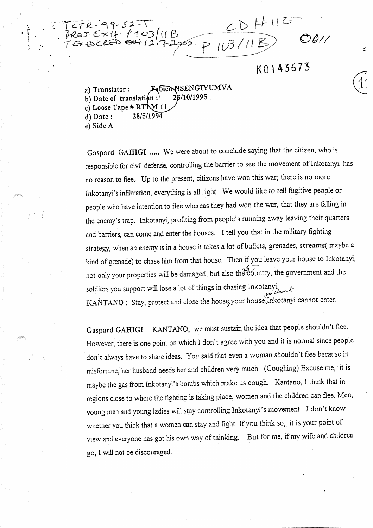$TCTR-99-52-1$ <br>TROS EX15. P103/11B<br>TENDERED ON12.7.2002 0 103/11B)  $R - 99 - 52 - 1$  $P103/11B$ 

Ć

a) Translator: Fabien NSENGIYUMVA<br>b) Date of translation: 28/10/1995 b) Date of translation : c) Loose Tape #  $RT_M11$ <br>d) Date: 28/5/1994  $d)$  Date: e) Side

L

 $\mathcal{L}^{\text{max}}$ 

Gaspard GAHIGI ..... We were about to conclude saying that the citizen, who is responsibte for civil defense, controlling the barrier to see the movement of Inkotanyi, has no reason to flee. Up to the present, citizens have won this war; there îs no more Inkotanyi's infiltration, everything is ail right. We would like to tell fugitive people or people who have intention to flee whereas they had won the war, that they are falling in the enemy's trap. Inkotanyi, profiting ffom people's running away leaving their quarters and barriers, can come and enter the houses. I tell you that in the military fighting strategy, when an enemy is in a house it takes a lot of bullets, grenades, streams( maybe a kind of grenade) to chase him from that house. Then if you leave your house to Inkotanyi,  $\frac{3}{2}$ hot only your properties will be damaged, but also the eountry, the government and the soldiers you support will lose a lot of things in chasing Inkotany, KANTANO : Stay, protect and close the house, your house, Inkotanyi cannot enter.

Gaspard GAHIGI : KANTANO, we must sustain the idea that people shouldn't flee. However, there is one point on which I don't agree with you and it is normal since people don't always have to share ideas. You said that even a woman shouldn't flee because in misfortune, her husband needs her and children very much. (Coughing) Excuse me, 'it is maybe the gas from Inkotanyi's bombs which make us cough. Kantano, I think that in regions close to where the fighting is taking place, women and the children can flee. Men, young men and young ladies will stay controlling Inkotanyi's movement. I don't know whether you think that a woman can stay and fight. If you think so, it is your point of view and everyone has got his own way of thinking. But for me, if my wife and children go, I wiI1 not be discouraged.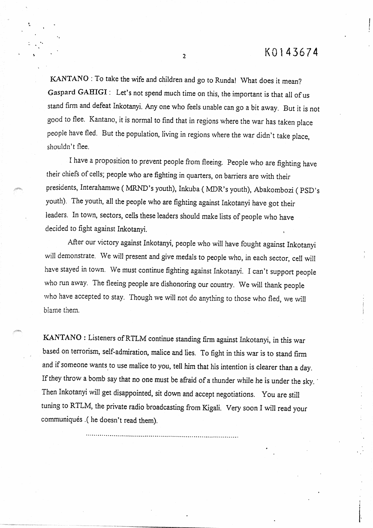KANTANO :To take the wife and children and go to Runda! What does it mean? Gaspard GAHIGI : Let's not spend much time on this, the important is that all of us stand firm and defeat Inkotanyi. Any one who feels unable can go a bit away. But it is not good to flee. Kantano, it is normal to find that in regions where the war has taken place people have fled. But the population, living in regions where the war didn't take place, shouldn't fiee.

I have a proposition to prevent people from fleeing. People who are fighting have their chiefs of cells; people who are fighting in quarters, on barriers are with their presidents, Interahamwe ( MRND's youth), Inkuba ( MDR's youth), Abakombozi ( youth). The youth, all the people who are fighting against Inkotanyi have got their leaders. In town, sectors, cells these leaders should make lists of people who have decided to fight against Inkotanyi.

Afler our victory against Inkotanyi, people who wilI have fought against Inkotanyi will demonstrate. We will present and give medals to people who, in each sector, celI will have stayed in town. We must continue fighting against Inkotanyi. I can't support people who mn away. The fleeing people are dishonoring our country. We will thank people who have accepted to stay. Though we will not do anything to those who fled, we will biame them.

KANTANO : Listeners ofRTLM continue standing firm against Inkotanyi, in this war based on terrorism, self-admiration, malice and lies. To fight in this war is to stand firm and if someone wants to use malice to you, tell him that his intention is clearer than a day. If they throw a bomb say that no one must be afraid of a thunder while he is under the sky. Then Inkotanyi will get disappointed, sit down and accept negotiations. You are still tuning to RTLM, the private radio broadcasting from Kigali. Very soon I will read your communiqués .( he doesn't read them).

...... '°''°°°°'°°'°'°°''°°'°°°°°°°°° .....\* ........°°o ....°°.°\*,,°o°,°°.~°°°.6°

 $\overline{2}$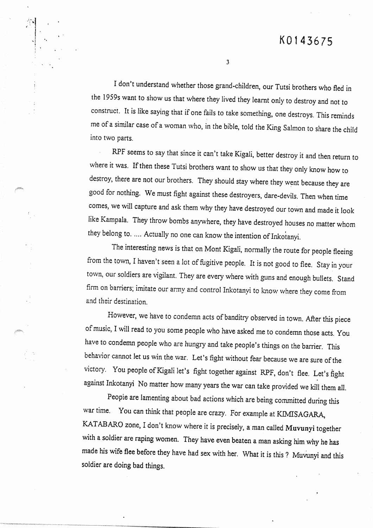I don't understand whether those grand-children, our Tutsi brothers who fled in the 1959s want to show us that where they lived they learnt only to destroy and hot to constmct. It is like saying that if one fails to take something, onedestroys. This reminds me of a similar case of a woman who, in the bible, told the King Salmon to share the child into two parts.

RPF seems to say that since it can't take Kigali, better destroy it and then return to where it was. If then these Tutsi brothers want to show us that they only know how to destroy, there are not our brothers. They should stay where they went because they are good for nothing. Wemust fight against these destroyers, dare-devils. Then when rime comes, we will capture and ask them why they have destroyed our town and made it look like Kampala. They throw bombs anywhere, they have destroyed houses no matter whom they belong to. .... Actually no one can know the intention of Inkotanyi.

The interesting news is that on Mont Kigali, normalIy the route for people fleeing from the town, Ihaven't seen a lot of fugitive people. It is not good to flee. Stay in your town, our soldiers are vigilant. They are every where with guns and enough bullets. Stand firm on barriers; imitate our army and control Inkotanyi to know where they come from and their destination.

However, we have to condemn acts of banditry observed in town. After this piece of music, I will read to you some people who have asked me to condemn those acts. You bave to condemn people who are hungry and take people's things on the barrier. This behavior cannot let us win the war. Let's fight without fear because we are sure of the victory. You people of Kigali let's fight together against RPF, don't flee. Let's fight against Inkotanyi No matter how many years the war can take provided we kill them all.

Peopie are lamenting about bad actions which are being committed during this war time. You can think that people are crazy. For example at KIMISAGARA, KATABARO zone, I don't know where it is precisely, a man called Muvunyi together with a soldier are raping women. They bave even beaten a man asking him why he bas made his wife flee before they have had sex with her. What it is this ? Muvunyi and this soldier are doing bad things.

 $\overline{\mathbf{3}}$ 

 $\ddot{\phantom{0}}$  . 1 . t -i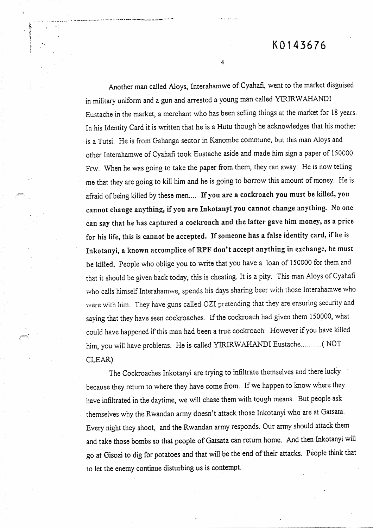## K 0 1 4 3 6 7 6

 $\overline{\mathbf{4}}$ 

¯ ¯ .......~°~ .......  $\mathbf{K}$  , .

> Another man called Aloys, Interahamwe of Cyahafi, went to the market disguised in military uniform and a gun and arrested a young man called YIRIRWAHANDI Eustache in the market, a merchant who has been selling things at the market for 18 years. In his Identity Card it is written that he is a Hutu though he acknowledges that his mother is a Tutsi. He is from Gahanga sector in Kanombe commune, but this man Aloys and other Interahamwe of Cyahafi took Eustache aside and made him sign a paper of 150000 Frw. When he was going to take the paper from them, they ran away. He is now telling me that they are going to kilI him and he is going to borrow this amount of money. He is afraid of being killed by these men.... If you are a cockroach you must be killed, you cannot change anything, if you are Inkotanyi you cannot change anything. No one can say that he has captured a cockroach and the latter gave him money, as a price i for his life, this is cannot be accepted. If someone has a false identity tard, if he is Inkotanyi, a known accomplice of RPF don't accept anything in exchange, he must be killed. People who oblige you to write that you have a loan of 150000 for them and that it should be given back today, this is cheating. It is a pity. This man Aloys of Cyahafi who calls himself Interahamwe, spends his days sharing beer with those Interahamwe who were with him. They have guns calIed OZI pretending that they are ensuring security and saying that they have seen cockroaches. If the cockroach had given them 150000, what could have happened if this man had been a true cockroach. However if you have killed him, you will have problems. He is called YIRIRWAHANDI Eustache........... (NOT CLEAR)

> The Cockroaches Inkotanyi are trying to infiltrate themselves and there lucky because they retum to where they have corne from. If we happen to know where they have infiltrated in the daytime, we will chase them with tough means. But people ask themselves why the Rwandan army doesn't attack those Inkotanyi who are at Gatsata. Every night they shoot, and the Rwandan army responds. Our army should attack them and take those bombs so that people of Gatsata can return home. And then Inkotanyi.will go at Gisozi to dig for potatoes and that wilI be the end of their attacks. Pëople think that to let the enemy continue disturbing us is contempt.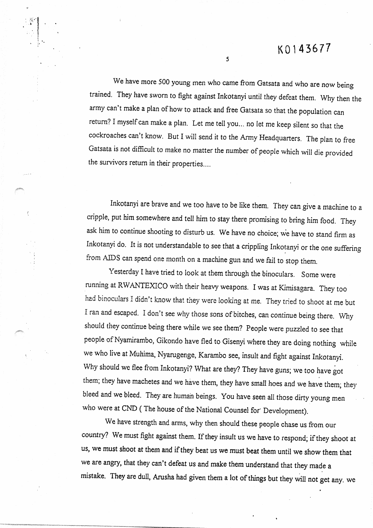We have more 500 young men who came from Gatsata and who are now being trained. They have sworn to fight against Inkotanyi until they defeat them. Why then the army can't make a plan of how to attack and free Gatsata so that the population can return? I myself can make a plan. Let me tell you... no let me keep silent so that the cockroaches can't know. But I will send it to the Army Headquarters. The plan to free Gatsata is not difficult to make no matter the number of people which will die provided the survivors return in their properties....

 $\overline{\mathbf{S}}$ 

 $\sim$  1

ţ

Inkotanyi are brave and we too have to be like them. They can give a machine to a cripple, put him somewhere and tell him to stay there promising tobring him food. They ask him to continue shooting to disturb us. We have no choice; we have to stand firm as Inkotanyi do. It is not understandable to see that a crippling Inkotanyi or the one suffering from AJDS can spend one month on a machine gun and we faiI to stop them.

Yesterday I havè tried to look at them through the binoculars. Some were running at RWANTEXICO with their heavy weapons. I was at Kimisagara. They too had binoculars I didn't know that they were looking at me. They tried to shoot at me but I ran and escaped. I don't see why those sons of bitches, can continue being there. Why should they continue being there while we see them? People were puzzled to see that people of Nyamirambo, Gikondo have fled to Gisenyi where they are doing nothing while we who live at Muhima, Nyarugenge, Kararnbo see, insult and fight against Inkotanyi. Why should we flee from Inkotanyi? What are they? They have guns; we too have got them; they have machetes and we have them, they have small hoes and we have them; they bleed and we bleed. They are human beings. You bave seen all those dirty young men who were at CND (The house of the National Counsel for Development).

We bave strength and arms, why then should these people chase us from out country? We must fight against them. If they insult us we have to respond; if they shoot at us, we must shoot at them and if they beat us we must beat them until we show them that we are angry, that they can't defeat us and make them understand that they made a mistake. They are dull, Arusha had given them a lot of things but they WilI hot get any. we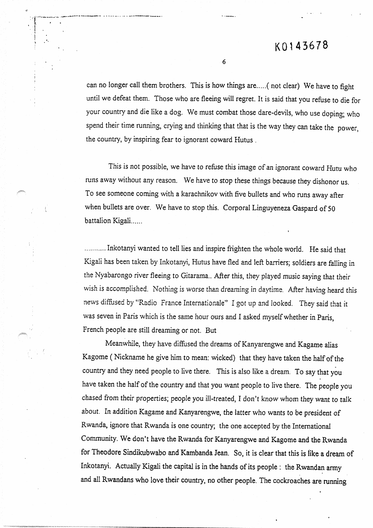!

can no longer caII them brothers. This is how things are .....( not clear) We have to fight untiI we defeat them. Those who are fleeing will regret. It is said that you refuse to die for your country and die like a dog. We must combat those dare-devils, who use doping; who spend their time running, crying and thinking that that is the way they can take the power, the country, by inspiring fear to ignorant coward Hutus.

6

°.

This is not possible, we have to refuse this image of an ignorant coward Hutu who runs away without any reason. We bave to stop these things because they dishonor us. To see someone coming with a karachnikov with five bullets and who runs away after when bullets are over. We have to stop this. Corporal Linguyeneza Gaspard of 50 battalion Kigali......

........... Inkotanyi wanted to telI lies and inspire frîghten the whole world. He said that Kigali bas been taken by Inkotanyi, Hutus have fled and left barriers; soldiers are falling in the Nyabarongo river fleeing to Gitarama.. After this, they played music saying that their wish is accomplished. Nothing is worse than dreaming in daytime. After having heard this news diffused by "Radio France Internationale" I got up and looked. They said that it was seven in Paris which is the same hour ours and I asked myself whether in Paris, French people are still dreaming or not. But

Meanwhile, they have diffiased the dreams of Kanyarengwe and Kagame alias Kagome ( Nickname he give him to mean: wicked) that they have taken the half of the country and they need people to Iive there. This is also like a dream. To say that you have taken the half of the country and that you want people to lire there. The people you chased from their properties; people you ill-treated, I don't know whom they want to talk about. In addition Kagame and Kanyarengwe, thelatter who wants to be president of Rwanda, ignore that Rwanda is one country; the one accepted by the International Community. We don't have the Rwanda for Kanyarengwe and Kagome and the Rwanda for Theodore Sindikubwabo and Kambanda Jean. So, it is clear that this is like a dream of Inkotanyi. Actually Kigali the capital is in the hands of its people : the Rwandan army and all Rwandans who love their country, no other people. The cockroaches are running